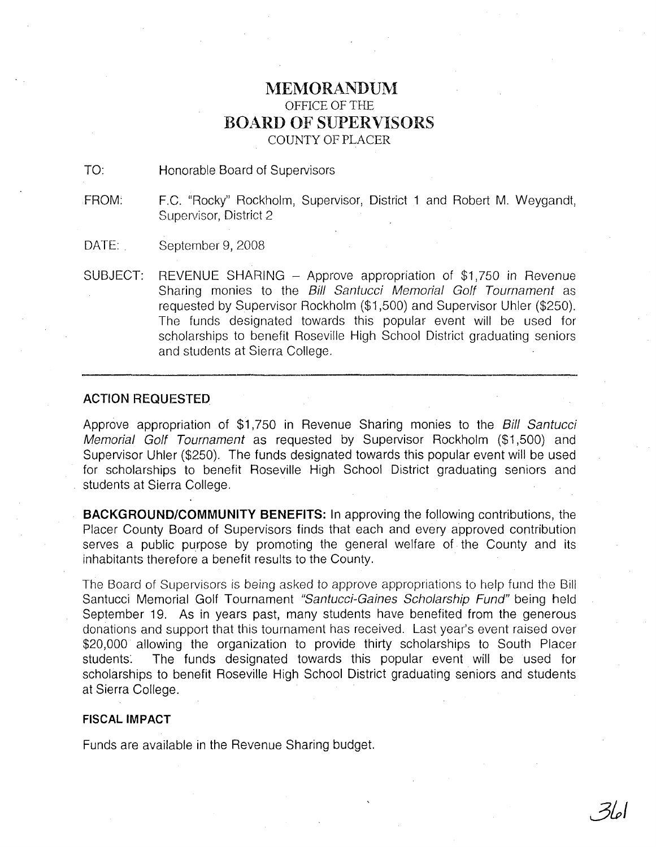## MEMORANDUM OFFICE OF THE BOARD OF SUPERVISORS COUNTY OF PLACER

TO: Honorable Board of Supervisors

FROM: F.C. "Rocky" Rockholm, Supervisor, District 1 and Robert M. Weygandt, Supervisor, District 2

DATE: September 9, 2008

SUBJECT: REVENUE SHARING - Approve appropriation of \$1,750 in Revenue Sharing monies to the Bill Santucci Memorial Golf Tournament as requested by Supervisor Rockholm (\$1,500) and Supervisor Uhler (\$250). The funds designated towards this popular event will be used for scholarships to benefit Roseville High School District graduating seniors and students at Sierra College.

## **ACTION** REQUESTED

Approve appropriation of \$1,750 in Revenue Sharing monies to the Bill Santucci Memorial Golf Tournament as requested by Supervisor Rockholm (\$1,500) and Supervisor Uhler (\$250). The funds designated towards this popular event will be used for scholarships to benefit Roseville High School District graduating seniors and students at Sierra College.

**BACKGROUND/COMMUNITY BENEFITS:** In approving the following contributions, the Placer County Board of Supervisors finds that each and every approved contribution serves a public purpose by promoting the general welfare of the County and its inhabitants therefore a benefit results to the County.

The Board of Supervisors is being asked to approve appropriations to help fund the Bill Santucci Memorial Golf Tournament "Santucci-Gaines Scholarship Fund" being held September 19. As in years past, many students have benefited from the generous donations and support that this tournament has received. Last year's event raised over \$20,000 allowing the organization to provide thirty scholarships to South Placer students. The funds designated towards this popular event will be used for scholarships to benefit Roseville High School District graduating seniors and students at Sierra College.

## **FISCAL IMPACT**

Funds are available in the Revenue Sharing budget.